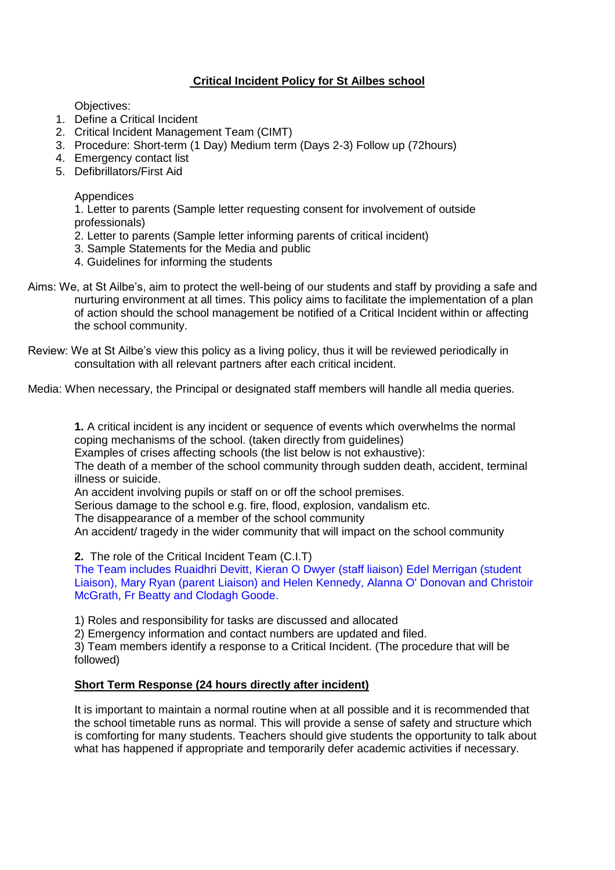## **Critical Incident Policy for St Ailbes school**

Objectives:

- 1. Define a Critical Incident
- 2. Critical Incident Management Team (CIMT)
- 3. Procedure: Short-term (1 Day) Medium term (Days 2-3) Follow up (72hours)
- 4. Emergency contact list
- 5. Defibrillators/First Aid

#### Appendices

1. Letter to parents (Sample letter requesting consent for involvement of outside professionals)

- 2. Letter to parents (Sample letter informing parents of critical incident)
- 3. Sample Statements for the Media and public
- 4. Guidelines for informing the students
- Aims: We, at St Ailbe's, aim to protect the well-being of our students and staff by providing a safe and nurturing environment at all times. This policy aims to facilitate the implementation of a plan of action should the school management be notified of a Critical Incident within or affecting the school community.
- Review: We at St Ailbe's view this policy as a living policy, thus it will be reviewed periodically in consultation with all relevant partners after each critical incident.

Media: When necessary, the Principal or designated staff members will handle all media queries.

**1.** A critical incident is any incident or sequence of events which overwhelms the normal coping mechanisms of the school. (taken directly from guidelines)

Examples of crises affecting schools (the list below is not exhaustive):

The death of a member of the school community through sudden death, accident, terminal illness or suicide.

An accident involving pupils or staff on or off the school premises.

Serious damage to the school e.g. fire, flood, explosion, vandalism etc.

The disappearance of a member of the school community

An accident/ tragedy in the wider community that will impact on the school community

**2.** The role of the Critical Incident Team (C.I.T)

The Team includes Ruaidhri Devitt, Kieran O Dwyer (staff liaison) Edel Merrigan (student Liaison), Mary Ryan (parent Liaison) and Helen Kennedy, Alanna O' Donovan and Christoir McGrath, Fr Beatty and Clodagh Goode.

1) Roles and responsibility for tasks are discussed and allocated

2) Emergency information and contact numbers are updated and filed.

3) Team members identify a response to a Critical Incident. (The procedure that will be followed)

### **Short Term Response (24 hours directly after incident)**

It is important to maintain a normal routine when at all possible and it is recommended that the school timetable runs as normal. This will provide a sense of safety and structure which is comforting for many students. Teachers should give students the opportunity to talk about what has happened if appropriate and temporarily defer academic activities if necessary.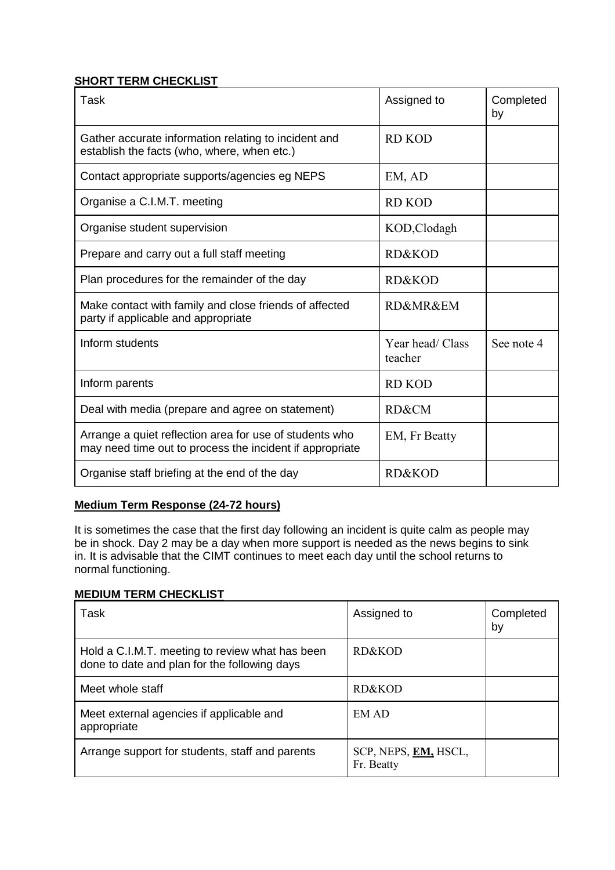## **SHORT TERM CHECKLIST**

| Task                                                                                                                | Assigned to                               | Completed<br>by |
|---------------------------------------------------------------------------------------------------------------------|-------------------------------------------|-----------------|
| Gather accurate information relating to incident and<br>establish the facts (who, where, when etc.)                 | RD KOD                                    |                 |
| Contact appropriate supports/agencies eg NEPS                                                                       | EM, AD                                    |                 |
| Organise a C.I.M.T. meeting                                                                                         | <b>RD KOD</b>                             |                 |
| Organise student supervision                                                                                        | KOD, Clodagh                              |                 |
| Prepare and carry out a full staff meeting                                                                          | RD&KOD                                    |                 |
| Plan procedures for the remainder of the day                                                                        | <b>RD&amp;KOD</b>                         |                 |
| Make contact with family and close friends of affected<br>party if applicable and appropriate                       | <b>RD&amp;MR&amp;EM</b>                   |                 |
| Inform students                                                                                                     | Year head/ Class<br>See note 4<br>teacher |                 |
| Inform parents                                                                                                      | RD KOD                                    |                 |
| Deal with media (prepare and agree on statement)                                                                    | RD&CM                                     |                 |
| Arrange a quiet reflection area for use of students who<br>may need time out to process the incident if appropriate | EM, Fr Beatty                             |                 |
| Organise staff briefing at the end of the day                                                                       | RD&KOD                                    |                 |

# **Medium Term Response (24-72 hours)**

It is sometimes the case that the first day following an incident is quite calm as people may be in shock. Day 2 may be a day when more support is needed as the news begins to sink in. It is advisable that the CIMT continues to meet each day until the school returns to normal functioning.

## **MEDIUM TERM CHECKLIST**

| Task                                                                                            | Assigned to                        | Completed<br>by |
|-------------------------------------------------------------------------------------------------|------------------------------------|-----------------|
| Hold a C.I.M.T. meeting to review what has been<br>done to date and plan for the following days | RD&KOD                             |                 |
| Meet whole staff                                                                                | RD&KOD                             |                 |
| Meet external agencies if applicable and<br>appropriate                                         | EM AD                              |                 |
| Arrange support for students, staff and parents                                                 | SCP, NEPS, EM, HSCL,<br>Fr. Beatty |                 |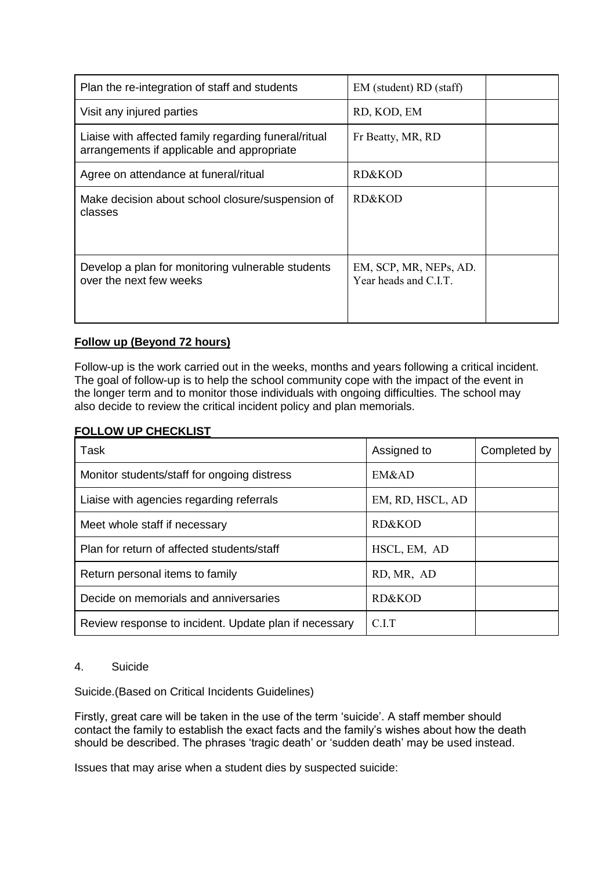| Plan the re-integration of staff and students                                                      | EM (student) RD (staff)                         |  |
|----------------------------------------------------------------------------------------------------|-------------------------------------------------|--|
| Visit any injured parties                                                                          | RD, KOD, EM                                     |  |
| Liaise with affected family regarding funeral/ritual<br>arrangements if applicable and appropriate | Fr Beatty, MR, RD                               |  |
| Agree on attendance at funeral/ritual                                                              | RD&KOD                                          |  |
| Make decision about school closure/suspension of<br>classes                                        | RD&KOD                                          |  |
| Develop a plan for monitoring vulnerable students<br>over the next few weeks                       | EM, SCP, MR, NEPs, AD.<br>Year heads and C.I.T. |  |

# **Follow up (Beyond 72 hours)**

Follow-up is the work carried out in the weeks, months and years following a critical incident. The goal of follow-up is to help the school community cope with the impact of the event in the longer term and to monitor those individuals with ongoing difficulties. The school may also decide to review the critical incident policy and plan memorials.

## **FOLLOW UP CHECKLIST**

| Task                                                  | Assigned to      | Completed by |
|-------------------------------------------------------|------------------|--------------|
| Monitor students/staff for ongoing distress           | EM&AD            |              |
| Liaise with agencies regarding referrals              | EM, RD, HSCL, AD |              |
| Meet whole staff if necessary                         | RD&KOD           |              |
| Plan for return of affected students/staff            | HSCL, EM, AD     |              |
| Return personal items to family                       | RD, MR, AD       |              |
| Decide on memorials and anniversaries                 | RD&KOD           |              |
| Review response to incident. Update plan if necessary | C.LT             |              |

### 4. Suicide

Suicide.(Based on Critical Incidents Guidelines)

Firstly, great care will be taken in the use of the term 'suicide'. A staff member should contact the family to establish the exact facts and the family's wishes about how the death should be described. The phrases 'tragic death' or 'sudden death' may be used instead.

Issues that may arise when a student dies by suspected suicide: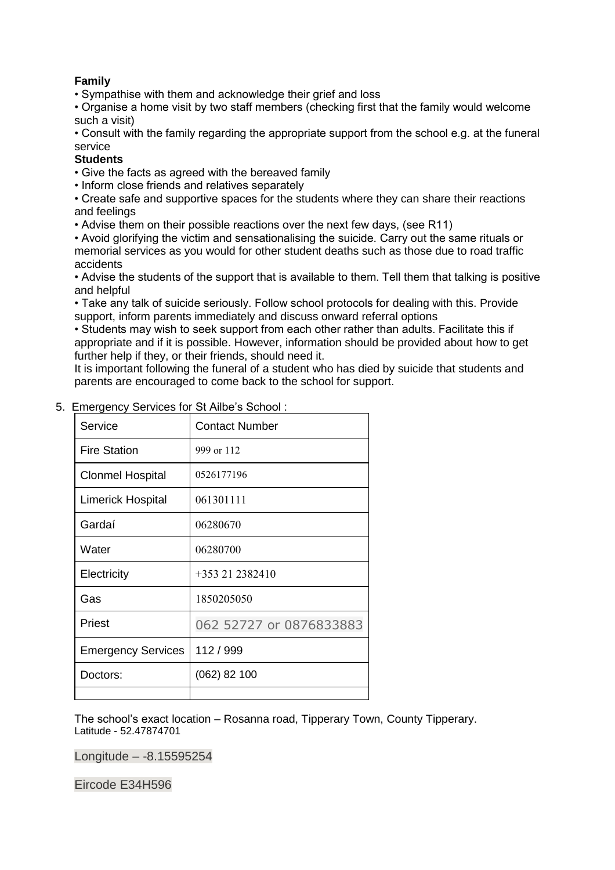## **Family**

• Sympathise with them and acknowledge their grief and loss

• Organise a home visit by two staff members (checking first that the family would welcome such a visit)

• Consult with the family regarding the appropriate support from the school e.g. at the funeral service

#### **Students**

- Give the facts as agreed with the bereaved family
- Inform close friends and relatives separately

• Create safe and supportive spaces for the students where they can share their reactions and feelings

• Advise them on their possible reactions over the next few days, (see R11)

• Avoid glorifying the victim and sensationalising the suicide. Carry out the same rituals or memorial services as you would for other student deaths such as those due to road traffic accidents

• Advise the students of the support that is available to them. Tell them that talking is positive and helpful

• Take any talk of suicide seriously. Follow school protocols for dealing with this. Provide support, inform parents immediately and discuss onward referral options

• Students may wish to seek support from each other rather than adults. Facilitate this if appropriate and if it is possible. However, information should be provided about how to get further help if they, or their friends, should need it.

It is important following the funeral of a student who has died by suicide that students and parents are encouraged to come back to the school for support.

| Service                   | <b>Contact Number</b>   |
|---------------------------|-------------------------|
| <b>Fire Station</b>       | 999 or 112              |
| <b>Clonmel Hospital</b>   | 0526177196              |
| <b>Limerick Hospital</b>  | 061301111               |
| Gardaí                    | 06280670                |
| Water                     | 06280700                |
| Electricity               | $+353212382410$         |
| Gas                       | 1850205050              |
| Priest                    | 062 52727 or 0876833883 |
| <b>Emergency Services</b> | 112 / 999               |
| Doctors:                  | $(062)$ 82 100          |
|                           |                         |

### 5. Emergency Services for St Ailbe's School :

The school's exact location – Rosanna road, Tipperary Town, County Tipperary. Latitude - 52.47874701

Longitude – -8.15595254

Eircode E34H596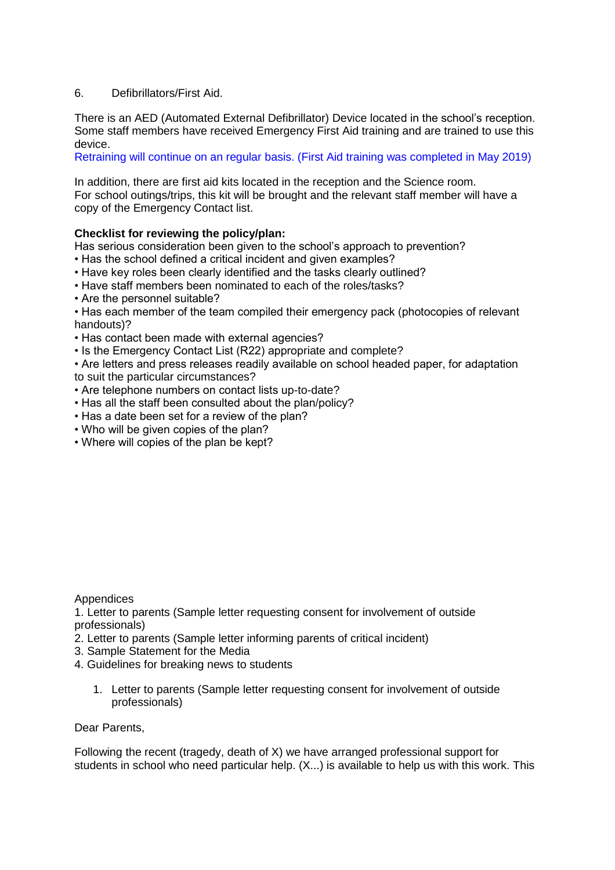## 6. Defibrillators/First Aid.

There is an AED (Automated External Defibrillator) Device located in the school's reception. Some staff members have received Emergency First Aid training and are trained to use this device.

Retraining will continue on an regular basis. (First Aid training was completed in May 2019)

In addition, there are first aid kits located in the reception and the Science room. For school outings/trips, this kit will be brought and the relevant staff member will have a copy of the Emergency Contact list.

## **Checklist for reviewing the policy/plan:**

Has serious consideration been given to the school's approach to prevention?

- Has the school defined a critical incident and given examples?
- Have key roles been clearly identified and the tasks clearly outlined?
- Have staff members been nominated to each of the roles/tasks?
- Are the personnel suitable?

• Has each member of the team compiled their emergency pack (photocopies of relevant handouts)?

- Has contact been made with external agencies?
- Is the Emergency Contact List (R22) appropriate and complete?

• Are letters and press releases readily available on school headed paper, for adaptation to suit the particular circumstances?

- Are telephone numbers on contact lists up-to-date?
- Has all the staff been consulted about the plan/policy?
- Has a date been set for a review of the plan?
- Who will be given copies of the plan?
- Where will copies of the plan be kept?

### Appendices

1. Letter to parents (Sample letter requesting consent for involvement of outside professionals)

- 2. Letter to parents (Sample letter informing parents of critical incident)
- 3. Sample Statement for the Media
- 4. Guidelines for breaking news to students
	- 1. Letter to parents (Sample letter requesting consent for involvement of outside professionals)

### Dear Parents,

Following the recent (tragedy, death of X) we have arranged professional support for students in school who need particular help. (X...) is available to help us with this work. This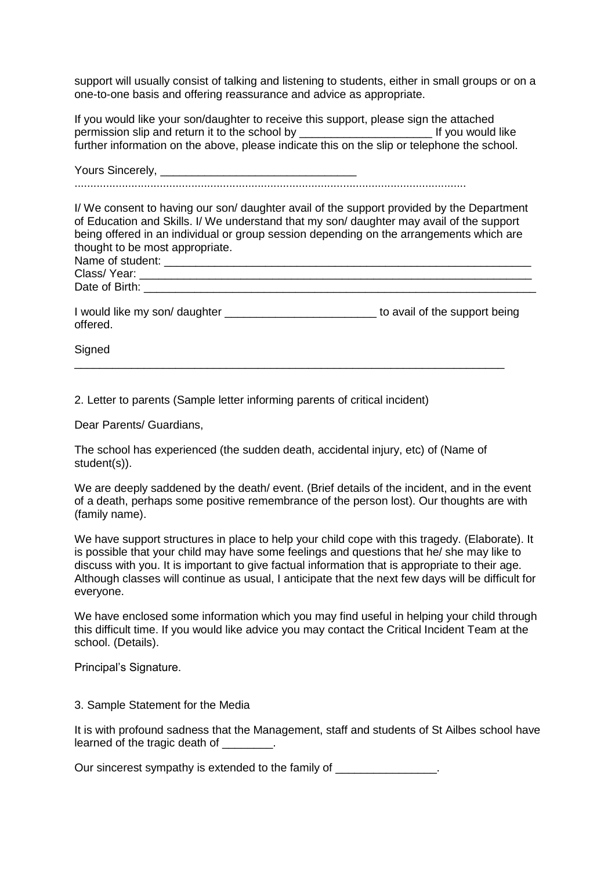support will usually consist of talking and listening to students, either in small groups or on a one-to-one basis and offering reassurance and advice as appropriate.

If you would like your son/daughter to receive this support, please sign the attached permission slip and return it to the school by **Example 20** If you would like further information on the above, please indicate this on the slip or telephone the school.

Yours Sincerely,

............................................................................................................................

I/ We consent to having our son/ daughter avail of the support provided by the Department of Education and Skills. I/ We understand that my son/ daughter may avail of the support being offered in an individual or group session depending on the arrangements which are thought to be most appropriate.

| Name of student: |  |
|------------------|--|
| Class/Year:      |  |
| Date of Birth:   |  |
|                  |  |

| I would like my son/ daughter | to avail of the support being |
|-------------------------------|-------------------------------|
| offered.                      |                               |

\_\_\_\_\_\_\_\_\_\_\_\_\_\_\_\_\_\_\_\_\_\_\_\_\_\_\_\_\_\_\_\_\_\_\_\_\_\_\_\_\_\_\_\_\_\_\_\_\_\_\_\_\_\_\_\_\_\_\_\_\_\_\_\_\_\_\_\_

Signed

2. Letter to parents (Sample letter informing parents of critical incident)

Dear Parents/ Guardians,

The school has experienced (the sudden death, accidental injury, etc) of (Name of student(s)).

We are deeply saddened by the death/ event. (Brief details of the incident, and in the event of a death, perhaps some positive remembrance of the person lost). Our thoughts are with (family name).

We have support structures in place to help your child cope with this tragedy. (Elaborate). It is possible that your child may have some feelings and questions that he/ she may like to discuss with you. It is important to give factual information that is appropriate to their age. Although classes will continue as usual, I anticipate that the next few days will be difficult for everyone.

We have enclosed some information which you may find useful in helping your child through this difficult time. If you would like advice you may contact the Critical Incident Team at the school. (Details).

Principal's Signature.

3. Sample Statement for the Media

It is with profound sadness that the Management, staff and students of St Ailbes school have learned of the tragic death of  $\qquad \qquad$ .

Our sincerest sympathy is extended to the family of  $\sim$